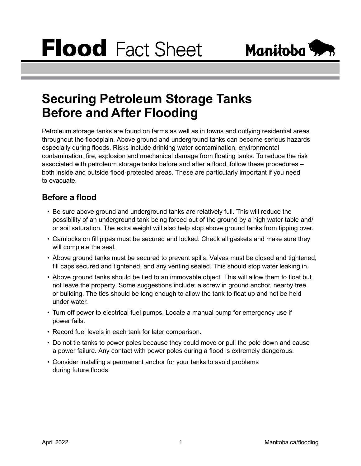

## **Securing Petroleum Storage Tanks Before and After Flooding**

Petroleum storage tanks are found on farms as well as in towns and outlying residential areas throughout the floodplain. Above ground and underground tanks can become serious hazards especially during floods. Risks include drinking water contamination, environmental contamination, fire, explosion and mechanical damage from floating tanks. To reduce the risk associated with petroleum storage tanks before and after a flood, follow these procedures – both inside and outside flood-protected areas. These are particularly important if you need to evacuate.

## **Before a flood**

- Be sure above ground and underground tanks are relatively full. This will reduce the possibility of an underground tank being forced out of the ground by a high water table and/ or soil saturation. The extra weight will also help stop above ground tanks from tipping over.
- Camlocks on fill pipes must be secured and locked. Check all gaskets and make sure they will complete the seal.
- Above ground tanks must be secured to prevent spills. Valves must be closed and tightened, fill caps secured and tightened, and any venting sealed. This should stop water leaking in.
- Above ground tanks should be tied to an immovable object. This will allow them to float but not leave the property. Some suggestions include: a screw in ground anchor, nearby tree, or building. The ties should be long enough to allow the tank to float up and not be held under water.
- Turn off power to electrical fuel pumps. Locate a manual pump for emergency use if power fails.
- Record fuel levels in each tank for later comparison.
- Do not tie tanks to power poles because they could move or pull the pole down and cause a power failure. Any contact with power poles during a flood is extremely dangerous.
- Consider installing a permanent anchor for your tanks to avoid problems during future floods